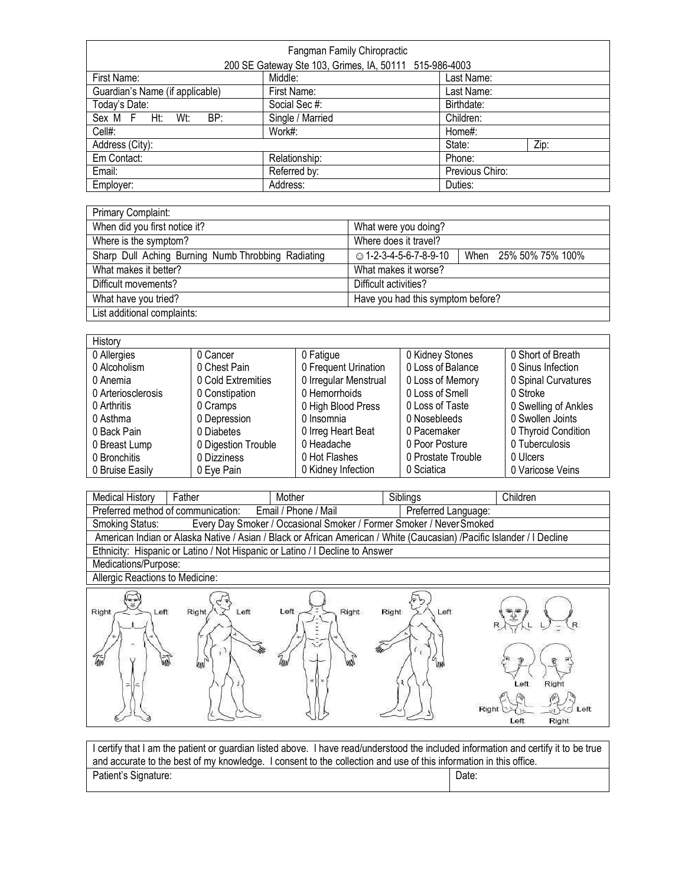|                                 | Fangman Family Chiropractic                            |                 |  |
|---------------------------------|--------------------------------------------------------|-----------------|--|
|                                 | 200 SE Gateway Ste 103, Grimes, IA, 50111 515-986-4003 |                 |  |
| First Name:                     | Middle:                                                | Last Name:      |  |
| Guardian's Name (if applicable) | First Name:                                            | Last Name:      |  |
| Today's Date:                   | Social Sec #:                                          | Birthdate:      |  |
| BP:<br>Sex M F<br>Ht:<br>Wt:    | Single / Married                                       | Children:       |  |
| Cell#:                          | Work#:                                                 | Home#:          |  |
| Address (City):                 |                                                        | Zip:<br>State:  |  |
| Em Contact:                     | Relationship:                                          | Phone:          |  |
| Email:                          | Referred by:                                           | Previous Chiro: |  |
| Employer:                       | Address:                                               | Duties:         |  |

| Primary Complaint:                                 |                                                 |  |
|----------------------------------------------------|-------------------------------------------------|--|
| When did you first notice it?                      | What were you doing?                            |  |
| Where is the symptom?                              | Where does it travel?                           |  |
| Sharp Dull Aching Burning Numb Throbbing Radiating | © 1-2-3-4-5-6-7-8-9-10<br>When 25% 50% 75% 100% |  |
| What makes it better?                              | What makes it worse?                            |  |
| Difficult movements?                               | Difficult activities?                           |  |
| What have you tried?                               | Have you had this symptom before?               |  |
| List additional complaints:                        |                                                 |  |

| History            |                     |                       |                    |                      |
|--------------------|---------------------|-----------------------|--------------------|----------------------|
| 0 Allergies        | 0 Cancer            | 0 Fatigue             | 0 Kidney Stones    | 0 Short of Breath    |
| 0 Alcoholism       | 0 Chest Pain        | 0 Frequent Urination  | 0 Loss of Balance  | 0 Sinus Infection    |
| 0 Anemia           | 0 Cold Extremities  | 0 Irregular Menstrual | 0 Loss of Memory   | 0 Spinal Curvatures  |
| 0 Arteriosclerosis | 0 Constipation      | 0 Hemorrhoids         | 0 Loss of Smell    | 0 Stroke             |
| 0 Arthritis        | 0 Cramps            | 0 High Blood Press    | 0 Loss of Taste    | 0 Swelling of Ankles |
| 0 Asthma           | 0 Depression        | 0 Insomnia            | 0 Nosebleeds       | 0 Swollen Joints     |
| 0 Back Pain        | 0 Diabetes          | 0 Irreg Heart Beat    | 0 Pacemaker        | 0 Thyroid Condition  |
| 0 Breast Lump      | 0 Digestion Trouble | 0 Headache            | 0 Poor Posture     | 0 Tuberculosis       |
| 0 Bronchitis       | 0 Dizziness         | 0 Hot Flashes         | 0 Prostate Trouble | 0 Ulcers             |
| 0 Bruise Easily    | 0 Eye Pain          | 0 Kidney Infection    | 0 Sciatica         | 0 Varicose Veins     |

| <b>Medical History</b>          | Father                                                                       | Mother                                                              | Siblings         | Children                                                                                                               |
|---------------------------------|------------------------------------------------------------------------------|---------------------------------------------------------------------|------------------|------------------------------------------------------------------------------------------------------------------------|
|                                 | Preferred method of communication:                                           | Email / Phone / Mail                                                |                  | Preferred Language:                                                                                                    |
| Smoking Status:                 |                                                                              | Every Day Smoker / Occasional Smoker / Former Smoker / Never Smoked |                  |                                                                                                                        |
|                                 |                                                                              |                                                                     |                  | American Indian or Alaska Native / Asian / Black or African American / White (Caucasian) /Pacific Islander / I Decline |
|                                 | Ethnicity: Hispanic or Latino / Not Hispanic or Latino / I Decline to Answer |                                                                     |                  |                                                                                                                        |
| Medications/Purpose:            |                                                                              |                                                                     |                  |                                                                                                                        |
| Allergic Reactions to Medicine: |                                                                              |                                                                     |                  |                                                                                                                        |
| Left<br>Right<br>Tim<br>Ξ       | Left<br><b>Right</b>                                                         | Right<br>Left<br>÷                                                  | Right<br>$\n  1$ | Left<br>Right<br>eft<br>Righ<br>Right<br>_eft                                                                          |

| I certify that I am the patient or guardian listed above. I have read/understood the included information and certify it to be true |       |  |  |
|-------------------------------------------------------------------------------------------------------------------------------------|-------|--|--|
| and accurate to the best of my knowledge. I consent to the collection and use of this information in this office.                   |       |  |  |
| Patient's Signature:                                                                                                                | Date: |  |  |